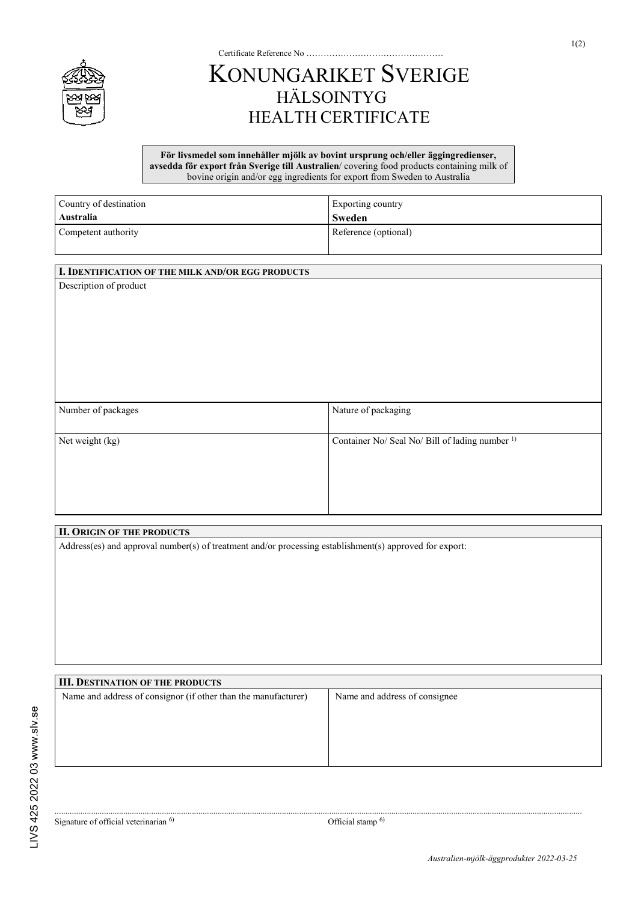

## KONUNGARIKET SVERIGE HÄLSOINTYG HEALTH CERTIFICATE

Certificate Reference No …………………………………………

## **För livsmedel som innehåller mjölk av bovint ursprung och/eller äggingredienser, avsedda för export från Sverige till Australien**/ covering food products containing milk of bovine origin and/or egg ingredients for export from Sweden to Australia

| Country of destination | Exporting country    |
|------------------------|----------------------|
| Australia              | Sweden               |
| Competent authority    | Reference (optional) |

## **I. IDENTIFICATION OF THE MILK AND/OR EGG PRODUCTS**

Description of product

| Number of packages | Nature of packaging                                        |
|--------------------|------------------------------------------------------------|
| Net weight (kg)    | Container No/ Seal No/ Bill of lading number <sup>1)</sup> |

## **II. ORIGIN OF THE PRODUCTS**

Address(es) and approval number(s) of treatment and/or processing establishment(s) approved for export:

**III. DESTINATION OF THE PRODUCTS** Name and address of consignor (if other than the manufacturer) Name and address of consignee

......................................................................................................................................................................................................................................................